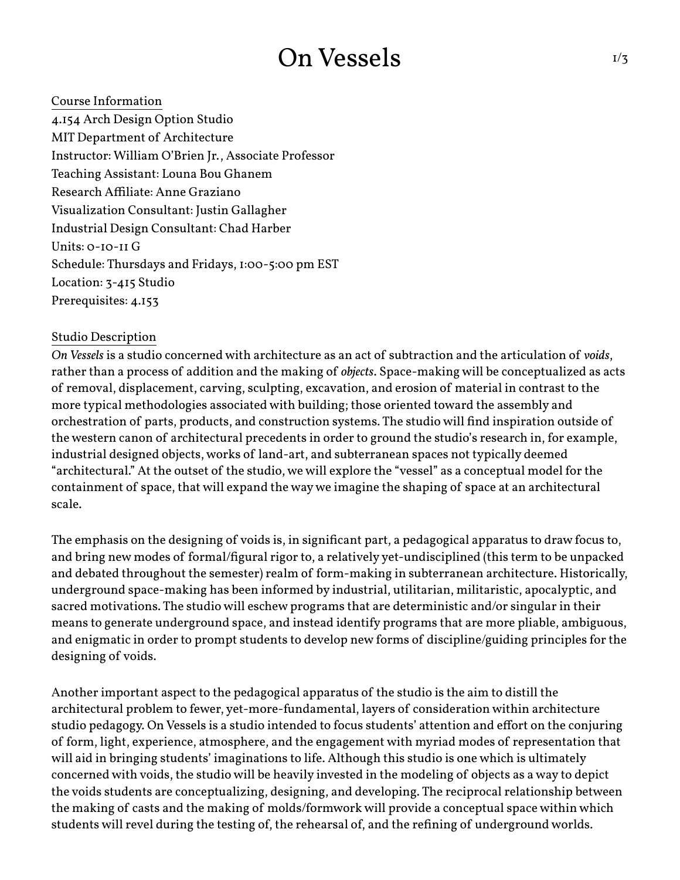## On Vessels

Course Information 4.154 Arch Design Option Studio MIT Department of Architecture Instructor: William O'Brien Jr., Associate Professor Teaching Assistant: Louna Bou Ghanem Research Affiliate: Anne Graziano Visualization Consultant: Justin Gallagher Industrial Design Consultant: Chad Harber Units: 0-10-11 G Schedule: Thursdays and Fridays, 1:00-5:00 pm EST Location: 3-415 Studio Prerequisites: 4.153

### Studio Description

*On Vessels* is a studio concerned with architecture as an act of subtraction and the articulation of *voids*, rather than a process of addition and the making of *objects*. Space-making will be conceptualized as acts of removal, displacement, carving, sculpting, excavation, and erosion of material in contrast to the more typical methodologies associated with building; those oriented toward the assembly and orchestration of parts, products, and construction systems. The studio will find inspiration outside of the western canon of architectural precedents in order to ground the studio's research in, for example, industrial designed objects, works of land-art, and subterranean spaces not typically deemed "architectural." At the outset of the studio, we will explore the "vessel" as a conceptual model for the

containment of space, that will expand the way we imagine the shaping of space at an architectural scale.

The emphasis on the designing of voids is, in significant part, a pedagogical apparatus to draw focus to, and bring new modes of formal/figural rigor to, a relatively yet-undisciplined (this term to be unpacked and debated throughout the semester) realm of form-making in subterranean architecture. Historically, underground space-making has been informed by industrial, utilitarian, militaristic, apocalyptic, and sacred motivations. The studio will eschew programs that are deterministic and/or singular in their means to generate underground space, and instead identify programs that are more pliable, ambiguous, and enigmatic in order to prompt students to develop new forms of discipline/guiding principles for the designing of voids.

Another important aspect to the pedagogical apparatus of the studio is the aim to distill the architectural problem to fewer, yet-more-fundamental, layers of consideration within architecture studio pedagogy. On Vessels is a studio intended to focus students' attention and effort on the conjuring of form, light, experience, atmosphere, and the engagement with myriad modes of representation that will aid in bringing students' imaginations to life. Although this studio is one which is ultimately concerned with voids, the studio will be heavily invested in the modeling of objects as a way to depict the voids students are conceptualizing, designing, and developing. The reciprocal relationship between the making of casts and the making of molds/formwork will provide a conceptual space within which students will revel during the testing of, the rehearsal of, and the refining of underground worlds.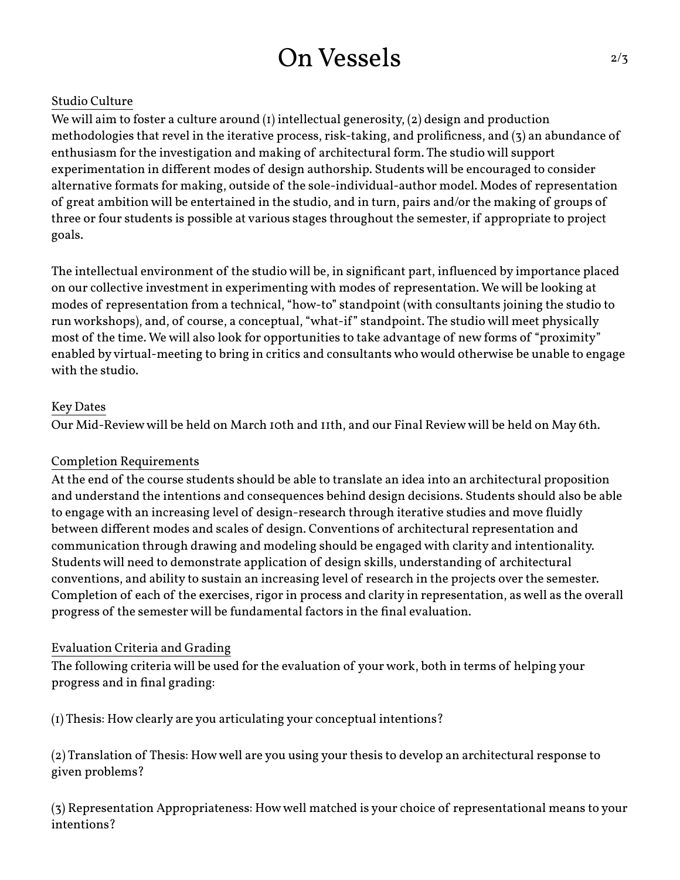# On Vessels

### Studio Culture

We will aim to foster a culture around (1) intellectual generosity, (2) design and production methodologies that revel in the iterative process, risk-taking, and prolificness, and (3) an abundance of enthusiasm for the investigation and making of architectural form. The studio will support experimentation in different modes of design authorship. Students will be encouraged to consider alternative formats for making, outside of the sole-individual-author model. Modes of representation of great ambition will be entertained in the studio, and in turn, pairs and/or the making of groups of three or four students is possible at various stages throughout the semester, if appropriate to project goals.

The intellectual environment of the studio will be, in significant part, influenced by importance placed on our collective investment in experimenting with modes of representation. We will be looking at modes of representation from a technical, "how-to" standpoint (with consultants joining the studio to run workshops), and, of course, a conceptual, "what-if" standpoint. The studio will meet physically most of the time. We will also look for opportunities to take advantage of new forms of "proximity" enabled by virtual-meeting to bring in critics and consultants who would otherwise be unable to engage with the studio.

#### Key Dates

Our Mid-Review will be held on March 10th and 11th, and our Final Review will be held on May 6th.

#### Completion Requirements

At the end of the course students should be able to translate an idea into an architectural proposition and understand the intentions and consequences behind design decisions. Students should also be able to engage with an increasing level of design-research through iterative studies and move fluidly between different modes and scales of design. Conventions of architectural representation and communication through drawing and modeling should be engaged with clarity and intentionality. Students will need to demonstrate application of design skills, understanding of architectural conventions, and ability to sustain an increasing level of research in the projects over the semester. Completion of each of the exercises, rigor in process and clarity in representation, as well as the overall progress of the semester will be fundamental factors in the final evaluation.

### Evaluation Criteria and Grading

The following criteria will be used for the evaluation of your work, both in terms of helping your progress and in final grading:

(1) Thesis: How clearly are you articulating your conceptual intentions?

(2) Translation of Thesis: How well are you using your thesis to develop an architectural response to given problems?

(3) Representation Appropriateness: How well matched is your choice of representational means to your intentions?